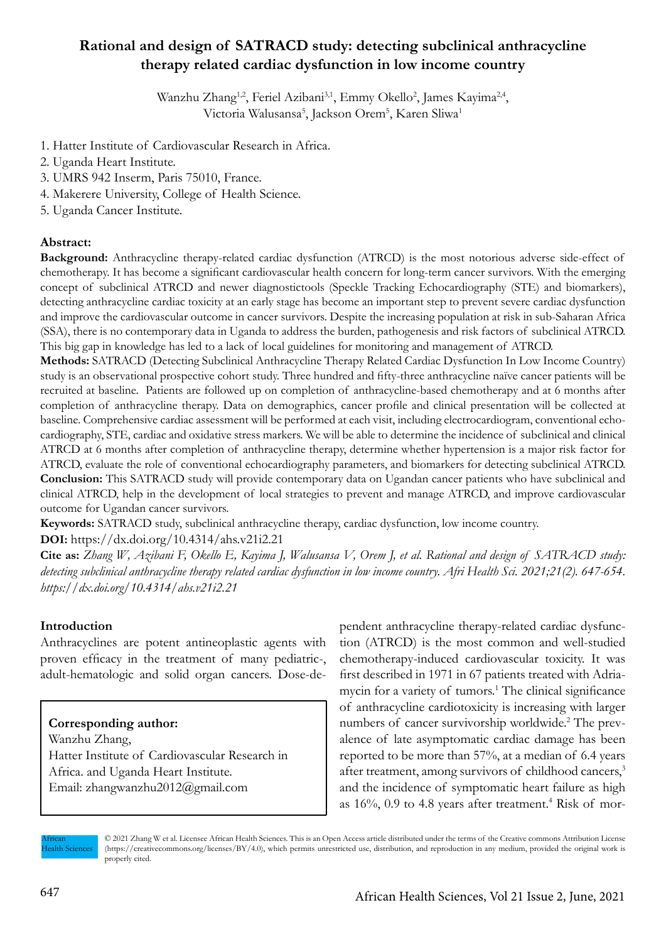# **Rational and design of SATRACD study: detecting subclinical anthracycline therapy related cardiac dysfunction in low income country**

Wanzhu Zhang<sup>1,2</sup>, Feriel Azibani<sup>3,1</sup>, Emmy Okello<sup>2</sup>, James Kayima<sup>2,4</sup>, Victoria Walusansa<sup>5</sup>, Jackson Orem<sup>5</sup>, Karen Sliwa<sup>1</sup>

- 1. Hatter Institute of Cardiovascular Research in Africa.
- 2. Uganda Heart Institute.
- 3. UMRS 942 Inserm, Paris 75010, France.
- 4. Makerere University, College of Health Science.
- 5. Uganda Cancer Institute.

### **Abstract:**

**Background:** Anthracycline therapy-related cardiac dysfunction (ATRCD) is the most notorious adverse side-effect of chemotherapy. It has become a significant cardiovascular health concern for long-term cancer survivors. With the emerging concept of subclinical ATRCD and newer diagnostictools (Speckle Tracking Echocardiography (STE) and biomarkers), detecting anthracycline cardiac toxicity at an early stage has become an important step to prevent severe cardiac dysfunction and improve the cardiovascular outcome in cancer survivors. Despite the increasing population at risk in sub-Saharan Africa (SSA), there is no contemporary data in Uganda to address the burden, pathogenesis and risk factors of subclinical ATRCD. This big gap in knowledge has led to a lack of local guidelines for monitoring and management of ATRCD.

**Methods:** SATRACD (Detecting Subclinical Anthracycline Therapy Related Cardiac Dysfunction In Low Income Country) study is an observational prospective cohort study. Three hundred and fifty-three anthracycline naïve cancer patients will be recruited at baseline. Patients are followed up on completion of anthracycline-based chemotherapy and at 6 months after completion of anthracycline therapy. Data on demographics, cancer profile and clinical presentation will be collected at baseline. Comprehensive cardiac assessment will be performed at each visit, including electrocardiogram, conventional echocardiography, STE, cardiac and oxidative stress markers. We will be able to determine the incidence of subclinical and clinical ATRCD at 6 months after completion of anthracycline therapy, determine whether hypertension is a major risk factor for ATRCD, evaluate the role of conventional echocardiography parameters, and biomarkers for detecting subclinical ATRCD. **Conclusion:** This SATRACD study will provide contemporary data on Ugandan cancer patients who have subclinical and clinical ATRCD, help in the development of local strategies to prevent and manage ATRCD, and improve cardiovascular outcome for Ugandan cancer survivors.

**Keywords:** SATRACD study, subclinical anthracycline therapy, cardiac dysfunction, low income country.

### **DOI:** https://dx.doi.org/10.4314/ahs.v21i2.21

**Cite as:** *Zhang W, Azibani F, Okello E, Kayima J, Walusansa V, Orem J, et al. Rational and design of SATRACD study: detecting subclinical anthracycline therapy related cardiac dysfunction in low income country. Afri Health Sci. 2021;21(2). 647-654. https://dx.doi.org/10.4314/ahs.v21i2.21*

### **Introduction**

Anthracyclines are potent antineoplastic agents with proven efficacy in the treatment of many pediatric-, adult-hematologic and solid organ cancers. Dose-de-

# **Corresponding author:**

Wanzhu Zhang, Hatter Institute of Cardiovascular Research in Africa. and Uganda Heart Institute. Email: zhangwanzhu2012@gmail.com

pendent anthracycline therapy-related cardiac dysfunction (ATRCD) is the most common and well-studied chemotherapy-induced cardiovascular toxicity. It was first described in 1971 in 67 patients treated with Adriamycin for a variety of tumors.<sup>1</sup> The clinical significance of anthracycline cardiotoxicity is increasing with larger numbers of cancer survivorship worldwide.<sup>2</sup> The prevalence of late asymptomatic cardiac damage has been reported to be more than 57%, at a median of 6.4 years after treatment, among survivors of childhood cancers,<sup>3</sup> and the incidence of symptomatic heart failure as high as 16%, 0.9 to 4.8 years after treatment.<sup>4</sup> Risk of mor-

African Health Sciences © 2021 Zhang W et al. Licensee African Health Sciences. This is an Open Access article distributed under the terms of the Creative commons Attribution License (https://creativecommons.org/licenses/BY/4.0), which permits unrestricted use, distribution, and reproduction in any medium, provided the original work is properly cited.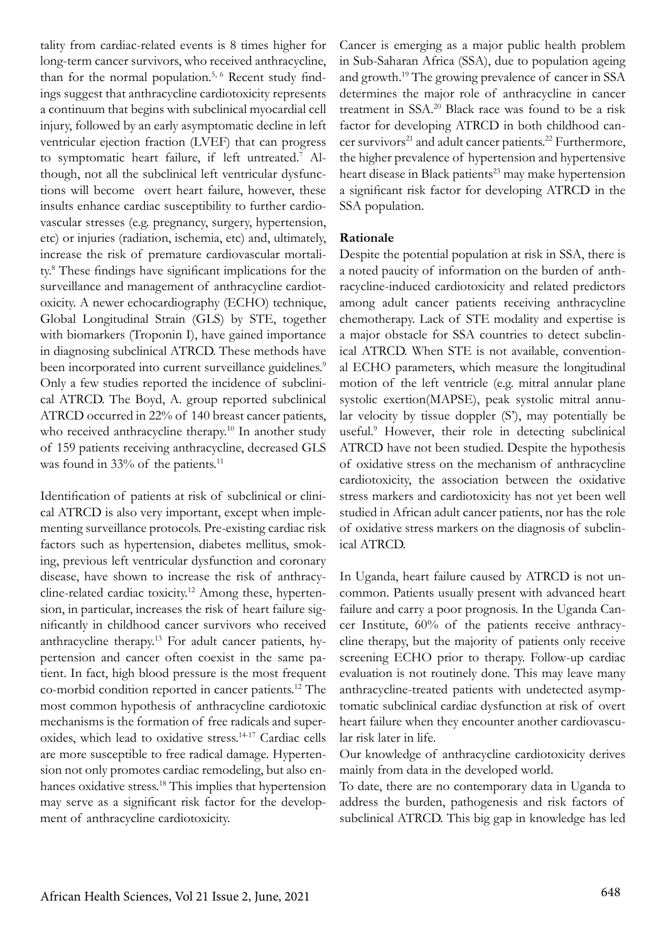tality from cardiac-related events is 8 times higher for long-term cancer survivors, who received anthracycline, than for the normal population.<sup>5,  $6$ </sup> Recent study findings suggest that anthracycline cardiotoxicity represents a continuum that begins with subclinical myocardial cell injury, followed by an early asymptomatic decline in left ventricular ejection fraction (LVEF) that can progress to symptomatic heart failure, if left untreated.7 Although, not all the subclinical left ventricular dysfunctions will become overt heart failure, however, these insults enhance cardiac susceptibility to further cardiovascular stresses (e.g. pregnancy, surgery, hypertension, etc) or injuries (radiation, ischemia, etc) and, ultimately, increase the risk of premature cardiovascular mortality.8 These findings have significant implications for the surveillance and management of anthracycline cardiotoxicity. A newer echocardiography (ECHO) technique, Global Longitudinal Strain (GLS) by STE, together with biomarkers (Troponin I), have gained importance in diagnosing subclinical ATRCD. These methods have been incorporated into current surveillance guidelines.<sup>9</sup> Only a few studies reported the incidence of subclinical ATRCD. The Boyd, A. group reported subclinical ATRCD occurred in 22% of 140 breast cancer patients, who received anthracycline therapy.<sup>10</sup> In another study of 159 patients receiving anthracycline, decreased GLS was found in 33% of the patients.<sup>11</sup>

Identification of patients at risk of subclinical or clinical ATRCD is also very important, except when implementing surveillance protocols. Pre-existing cardiac risk factors such as hypertension, diabetes mellitus, smoking, previous left ventricular dysfunction and coronary disease, have shown to increase the risk of anthracycline-related cardiac toxicity.12 Among these, hypertension, in particular, increases the risk of heart failure significantly in childhood cancer survivors who received anthracycline therapy.13 For adult cancer patients, hypertension and cancer often coexist in the same patient. In fact, high blood pressure is the most frequent co-morbid condition reported in cancer patients.12 The most common hypothesis of anthracycline cardiotoxic mechanisms is the formation of free radicals and superoxides, which lead to oxidative stress.14-17 Cardiac cells are more susceptible to free radical damage. Hypertension not only promotes cardiac remodeling, but also enhances oxidative stress.<sup>18</sup> This implies that hypertension may serve as a significant risk factor for the development of anthracycline cardiotoxicity.

Cancer is emerging as a major public health problem in Sub-Saharan Africa (SSA), due to population ageing and growth.19 The growing prevalence of cancer in SSA determines the major role of anthracycline in cancer treatment in SSA.20 Black race was found to be a risk factor for developing ATRCD in both childhood cancer survivors<sup>21</sup> and adult cancer patients.<sup>22</sup> Furthermore, the higher prevalence of hypertension and hypertensive heart disease in Black patients<sup>23</sup> may make hypertension a significant risk factor for developing ATRCD in the SSA population.

### **Rationale**

Despite the potential population at risk in SSA, there is a noted paucity of information on the burden of anthracycline-induced cardiotoxicity and related predictors among adult cancer patients receiving anthracycline chemotherapy. Lack of STE modality and expertise is a major obstacle for SSA countries to detect subclinical ATRCD. When STE is not available, conventional ECHO parameters, which measure the longitudinal motion of the left ventricle (e.g. mitral annular plane systolic exertion(MAPSE), peak systolic mitral annular velocity by tissue doppler (S'), may potentially be useful.<sup>9</sup> However, their role in detecting subclinical ATRCD have not been studied. Despite the hypothesis of oxidative stress on the mechanism of anthracycline cardiotoxicity, the association between the oxidative stress markers and cardiotoxicity has not yet been well studied in African adult cancer patients, nor has the role of oxidative stress markers on the diagnosis of subclinical ATRCD.

In Uganda, heart failure caused by ATRCD is not uncommon. Patients usually present with advanced heart failure and carry a poor prognosis. In the Uganda Cancer Institute, 60% of the patients receive anthracycline therapy, but the majority of patients only receive screening ECHO prior to therapy. Follow-up cardiac evaluation is not routinely done. This may leave many anthracycline-treated patients with undetected asymptomatic subclinical cardiac dysfunction at risk of overt heart failure when they encounter another cardiovascular risk later in life.

Our knowledge of anthracycline cardiotoxicity derives mainly from data in the developed world.

To date, there are no contemporary data in Uganda to address the burden, pathogenesis and risk factors of subclinical ATRCD. This big gap in knowledge has led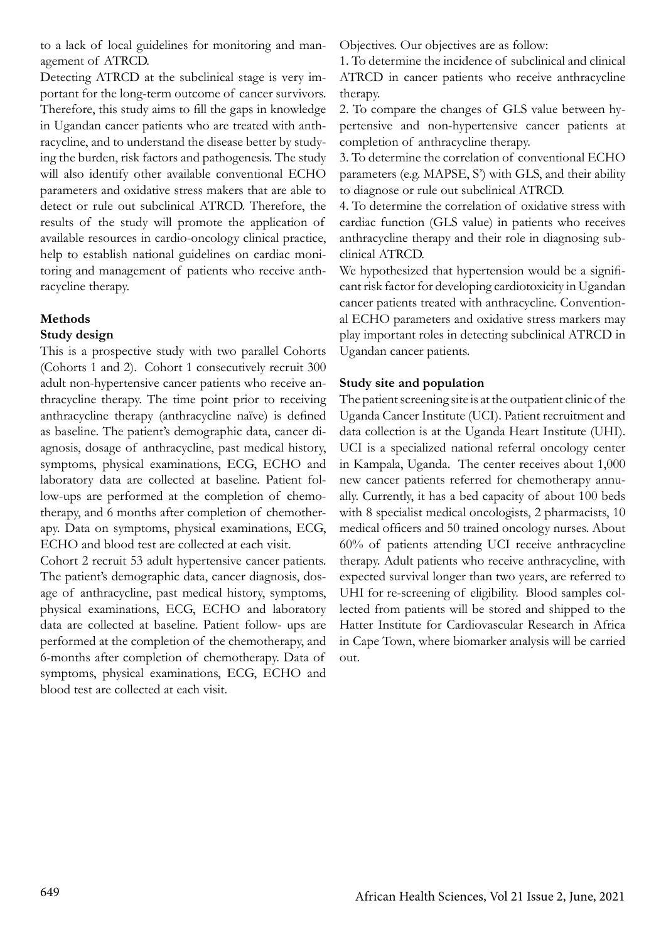to a lack of local guidelines for monitoring and management of ATRCD.

Detecting ATRCD at the subclinical stage is very important for the long-term outcome of cancer survivors. Therefore, this study aims to fill the gaps in knowledge in Ugandan cancer patients who are treated with anthracycline, and to understand the disease better by studying the burden, risk factors and pathogenesis. The study will also identify other available conventional ECHO parameters and oxidative stress makers that are able to detect or rule out subclinical ATRCD. Therefore, the results of the study will promote the application of available resources in cardio-oncology clinical practice, help to establish national guidelines on cardiac monitoring and management of patients who receive anthracycline therapy.

### **Methods**

### **Study design**

This is a prospective study with two parallel Cohorts (Cohorts 1 and 2). Cohort 1 consecutively recruit 300 adult non-hypertensive cancer patients who receive anthracycline therapy. The time point prior to receiving anthracycline therapy (anthracycline naïve) is defined as baseline. The patient's demographic data, cancer diagnosis, dosage of anthracycline, past medical history, symptoms, physical examinations, ECG, ECHO and laboratory data are collected at baseline. Patient follow-ups are performed at the completion of chemotherapy, and 6 months after completion of chemotherapy. Data on symptoms, physical examinations, ECG, ECHO and blood test are collected at each visit.

Cohort 2 recruit 53 adult hypertensive cancer patients. The patient's demographic data, cancer diagnosis, dosage of anthracycline, past medical history, symptoms, physical examinations, ECG, ECHO and laboratory data are collected at baseline. Patient follow- ups are performed at the completion of the chemotherapy, and 6-months after completion of chemotherapy. Data of symptoms, physical examinations, ECG, ECHO and blood test are collected at each visit.

Objectives. Our objectives are as follow:

1. To determine the incidence of subclinical and clinical ATRCD in cancer patients who receive anthracycline therapy.

2. To compare the changes of GLS value between hypertensive and non-hypertensive cancer patients at completion of anthracycline therapy.

3. To determine the correlation of conventional ECHO parameters (e.g. MAPSE, S') with GLS, and their ability to diagnose or rule out subclinical ATRCD.

4. To determine the correlation of oxidative stress with cardiac function (GLS value) in patients who receives anthracycline therapy and their role in diagnosing subclinical ATRCD.

We hypothesized that hypertension would be a significant risk factor for developing cardiotoxicity in Ugandan cancer patients treated with anthracycline. Conventional ECHO parameters and oxidative stress markers may play important roles in detecting subclinical ATRCD in Ugandan cancer patients.

### **Study site and population**

The patient screening site is at the outpatient clinic of the Uganda Cancer Institute (UCI). Patient recruitment and data collection is at the Uganda Heart Institute (UHI). UCI is a specialized national referral oncology center in Kampala, Uganda. The center receives about 1,000 new cancer patients referred for chemotherapy annually. Currently, it has a bed capacity of about 100 beds with 8 specialist medical oncologists, 2 pharmacists, 10 medical officers and 50 trained oncology nurses. About 60% of patients attending UCI receive anthracycline therapy. Adult patients who receive anthracycline, with expected survival longer than two years, are referred to UHI for re-screening of eligibility. Blood samples collected from patients will be stored and shipped to the Hatter Institute for Cardiovascular Research in Africa in Cape Town, where biomarker analysis will be carried out.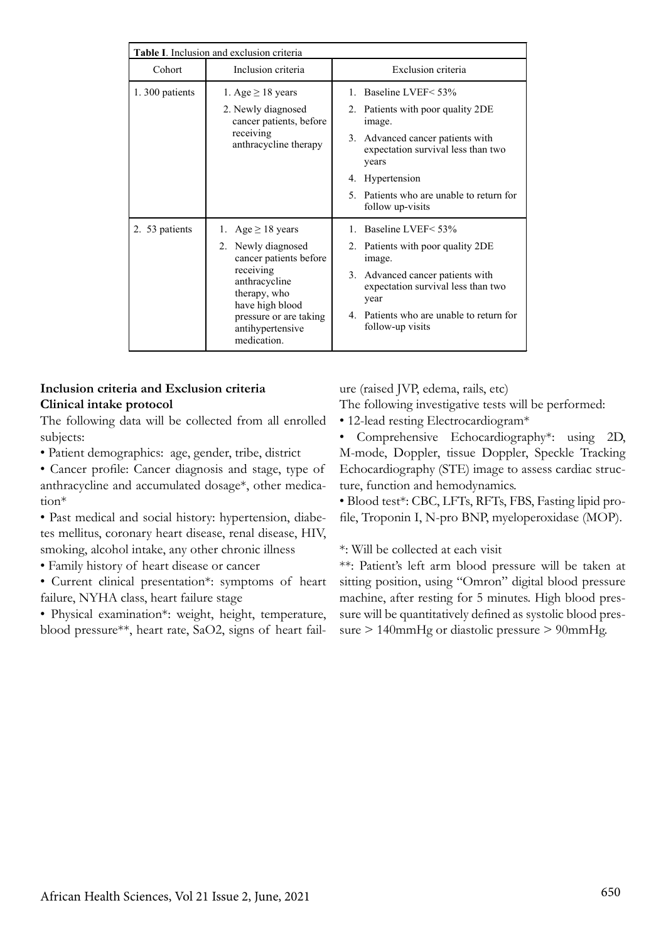|                | Table I. Inclusion and exclusion criteria                                                                                                                                                            |                                                                                                                                                                                                                                             |
|----------------|------------------------------------------------------------------------------------------------------------------------------------------------------------------------------------------------------|---------------------------------------------------------------------------------------------------------------------------------------------------------------------------------------------------------------------------------------------|
| Cohort         | Inclusion criteria                                                                                                                                                                                   | Exclusion criteria                                                                                                                                                                                                                          |
| 1.300 patients | 1. Age $\geq$ 18 years<br>2. Newly diagnosed<br>cancer patients, before<br>receiving<br>anthracycline therapy                                                                                        | 1. Baseline LVEF < 53%<br>2. Patients with poor quality 2DE<br>image.<br>3. Advanced cancer patients with<br>expectation survival less than two<br>years<br>4. Hypertension<br>5. Patients who are unable to return for<br>follow up-visits |
| 2. 53 patients | 1. Age $\geq$ 18 years<br>2. Newly diagnosed<br>cancer patients before<br>receiving<br>anthracycline<br>therapy, who<br>have high blood<br>pressure or are taking<br>antihypertensive<br>medication. | 1. Baseline LVEF < 53%<br>2. Patients with poor quality 2DE<br>image.<br>3. Advanced cancer patients with<br>expectation survival less than two<br>year<br>4. Patients who are unable to return for<br>follow-up visits                     |

## **Inclusion criteria and Exclusion criteria Clinical intake protocol**

The following data will be collected from all enrolled subjects:

- Patient demographics: age, gender, tribe, district
- Cancer profile: Cancer diagnosis and stage, type of anthracycline and accumulated dosage\*, other medication\*

• Past medical and social history: hypertension, diabetes mellitus, coronary heart disease, renal disease, HIV, smoking, alcohol intake, any other chronic illness

• Family history of heart disease or cancer

• Current clinical presentation\*: symptoms of heart failure, NYHA class, heart failure stage

• Physical examination\*: weight, height, temperature, blood pressure\*\*, heart rate, SaO2, signs of heart failure (raised JVP, edema, rails, etc) The following investigative tests will be performed:

- 
- 12-lead resting Electrocardiogram\*

• Comprehensive Echocardiography\*: using 2D, M-mode, Doppler, tissue Doppler, Speckle Tracking Echocardiography (STE) image to assess cardiac structure, function and hemodynamics.

• Blood test\*: CBC, LFTs, RFTs, FBS, Fasting lipid profile, Troponin I, N-pro BNP, myeloperoxidase (MOP).

\*: Will be collected at each visit

\*\*: Patient's left arm blood pressure will be taken at sitting position, using "Omron" digital blood pressure machine, after resting for 5 minutes. High blood pressure will be quantitatively defined as systolic blood pressure > 140mmHg or diastolic pressure > 90mmHg.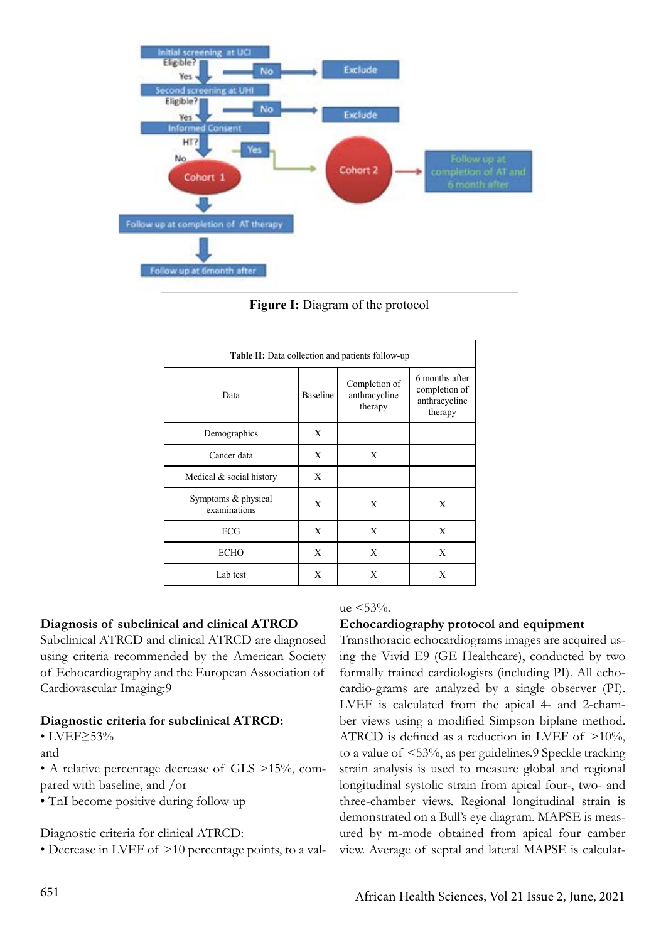

**Figure I:** Diagram of the protocol **Figure I:** Diagram of the protocol

| Table II: Data collection and patients follow-up |          |                                           |                                                             |  |
|--------------------------------------------------|----------|-------------------------------------------|-------------------------------------------------------------|--|
| Data                                             | Baseline | Completion of<br>anthracycline<br>therapy | 6 months after<br>completion of<br>anthracycline<br>therapy |  |
| Demographics                                     | X        |                                           |                                                             |  |
| Cancer data                                      | X        | X                                         |                                                             |  |
| Medical & social history                         | X        |                                           |                                                             |  |
| Symptoms & physical<br>examinations              | X        | X                                         | X                                                           |  |
| ECG                                              | X        | X                                         | X                                                           |  |
| <b>ECHO</b>                                      | X        | X                                         | X                                                           |  |
| Lab test                                         | X        | X                                         | X                                                           |  |

# **Diagnosis of subclinical and clinical ATRCD**

Subclinical ATRCD and clinical ATRCD are diagnosed using criteria recommended by the American Society of Echocardiography and the European Association of Cardiovascular Imaging:9

### **Diagnostic criteria for subclinical ATRCD:**

### • LVEF≥53%

and

• A relative percentage decrease of GLS >15%, compared with baseline, and /or

• TnI become positive during follow up

Diagnostic criteria for clinical ATRCD:

• Decrease in LVEF of >10 percentage points, to a val-

# $ue < 53\%$ .

### **Echocardiography protocol and equipment**

al ATRCD are diagnosed Transthoracic echocardiograms images are acquired us-By the American Society ang the VWa E2 (OE Heathcare), conducted by two<br>European Association of formally trained cardiologists (including PI). All echoing the Vivid E9 (GE Healthcare), conducted by two cardio-grams are analyzed by a single observer (PI). LVEF is calculated from the apical 4- and 2-chamber views using a modified Simpson biplane method. ATRCD is defined as a reduction in LVEF of >10%, to a value of <53%, as per guidelines.9 Speckle tracking strain analysis is used to measure global and regional longitudinal systolic strain from apical four-, two- and three-chamber views. Regional longitudinal strain is demonstrated on a Bull's eye diagram. MAPSE is measured by m-mode obtained from apical four camber view. Average of septal and lateral MAPSE is calculat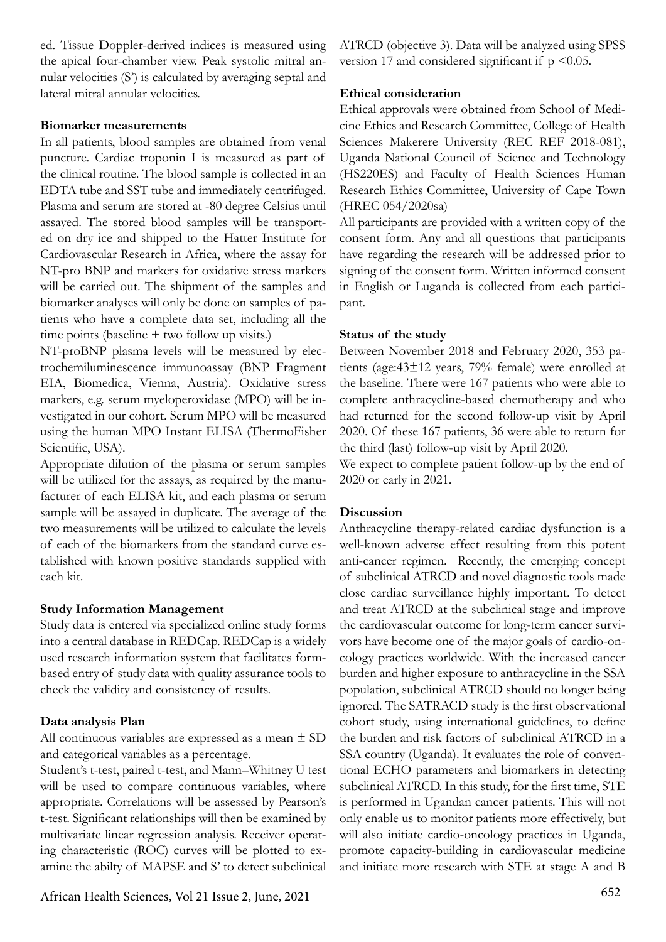ed. Tissue Doppler-derived indices is measured using the apical four-chamber view. Peak systolic mitral annular velocities (S') is calculated by averaging septal and lateral mitral annular velocities.

### **Biomarker measurements**

In all patients, blood samples are obtained from venal puncture. Cardiac troponin I is measured as part of the clinical routine. The blood sample is collected in an EDTA tube and SST tube and immediately centrifuged. Plasma and serum are stored at -80 degree Celsius until assayed. The stored blood samples will be transported on dry ice and shipped to the Hatter Institute for Cardiovascular Research in Africa, where the assay for NT-pro BNP and markers for oxidative stress markers will be carried out. The shipment of the samples and biomarker analyses will only be done on samples of patients who have a complete data set, including all the time points (baseline + two follow up visits.)

NT-proBNP plasma levels will be measured by electrochemiluminescence immunoassay (BNP Fragment EIA, Biomedica, Vienna, Austria). Oxidative stress markers, e.g. serum myeloperoxidase (MPO) will be investigated in our cohort. Serum MPO will be measured using the human MPO Instant ELISA (ThermoFisher Scientific, USA).

Appropriate dilution of the plasma or serum samples will be utilized for the assays, as required by the manufacturer of each ELISA kit, and each plasma or serum sample will be assayed in duplicate. The average of the two measurements will be utilized to calculate the levels of each of the biomarkers from the standard curve established with known positive standards supplied with each kit.

### **Study Information Management**

Study data is entered via specialized online study forms into a central database in REDCap. REDCap is a widely used research information system that facilitates formbased entry of study data with quality assurance tools to check the validity and consistency of results.

### **Data analysis Plan**

All continuous variables are expressed as a mean ± SD and categorical variables as a percentage.

Student's t-test, paired t-test, and Mann–Whitney U test will be used to compare continuous variables, where appropriate. Correlations will be assessed by Pearson's t-test. Significant relationships will then be examined by multivariate linear regression analysis. Receiver operating characteristic (ROC) curves will be plotted to examine the abilty of MAPSE and S' to detect subclinical

652 African Health Sciences, Vol 21 Issue 2, June, 2021

ATRCD (objective 3). Data will be analyzed using SPSS version 17 and considered significant if  $p \leq 0.05$ .

### **Ethical consideration**

Ethical approvals were obtained from School of Medicine Ethics and Research Committee, College of Health Sciences Makerere University (REC REF 2018-081), Uganda National Council of Science and Technology (HS220ES) and Faculty of Health Sciences Human Research Ethics Committee, University of Cape Town (HREC 054/2020sa)

All participants are provided with a written copy of the consent form. Any and all questions that participants have regarding the research will be addressed prior to signing of the consent form. Written informed consent in English or Luganda is collected from each participant.

### **Status of the study**

Between November 2018 and February 2020, 353 patients (age:43±12 years, 79% female) were enrolled at the baseline. There were 167 patients who were able to complete anthracycline-based chemotherapy and who had returned for the second follow-up visit by April 2020. Of these 167 patients, 36 were able to return for the third (last) follow-up visit by April 2020.

We expect to complete patient follow-up by the end of 2020 or early in 2021.

### **Discussion**

Anthracycline therapy-related cardiac dysfunction is a well-known adverse effect resulting from this potent anti-cancer regimen. Recently, the emerging concept of subclinical ATRCD and novel diagnostic tools made close cardiac surveillance highly important. To detect and treat ATRCD at the subclinical stage and improve the cardiovascular outcome for long-term cancer survivors have become one of the major goals of cardio-oncology practices worldwide. With the increased cancer burden and higher exposure to anthracycline in the SSA population, subclinical ATRCD should no longer being ignored. The SATRACD study is the first observational cohort study, using international guidelines, to define the burden and risk factors of subclinical ATRCD in a SSA country (Uganda). It evaluates the role of conventional ECHO parameters and biomarkers in detecting subclinical ATRCD. In this study, for the first time, STE is performed in Ugandan cancer patients. This will not only enable us to monitor patients more effectively, but will also initiate cardio-oncology practices in Uganda, promote capacity-building in cardiovascular medicine and initiate more research with STE at stage A and B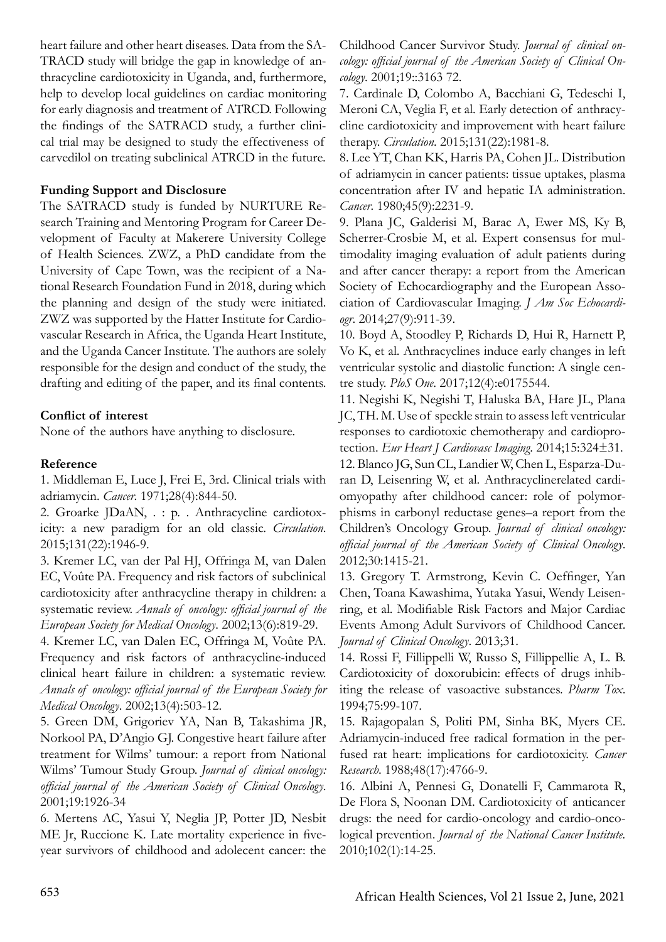heart failure and other heart diseases. Data from the SA-TRACD study will bridge the gap in knowledge of anthracycline cardiotoxicity in Uganda, and, furthermore, help to develop local guidelines on cardiac monitoring for early diagnosis and treatment of ATRCD. Following the findings of the SATRACD study, a further clinical trial may be designed to study the effectiveness of carvedilol on treating subclinical ATRCD in the future.

## **Funding Support and Disclosure**

The SATRACD study is funded by NURTURE Research Training and Mentoring Program for Career Development of Faculty at Makerere University College of Health Sciences. ZWZ, a PhD candidate from the University of Cape Town, was the recipient of a National Research Foundation Fund in 2018, during which the planning and design of the study were initiated. ZWZ was supported by the Hatter Institute for Cardiovascular Research in Africa, the Uganda Heart Institute, and the Uganda Cancer Institute. The authors are solely responsible for the design and conduct of the study, the drafting and editing of the paper, and its final contents.

# **Conflict of interest**

None of the authors have anything to disclosure.

# **Reference**

1. Middleman E, Luce J, Frei E, 3rd. Clinical trials with adriamycin. *Cancer*. 1971;28(4):844-50.

2. Groarke JDaAN, . : p. . Anthracycline cardiotoxicity: a new paradigm for an old classic. *Circulation*. 2015;131(22):1946-9.

3. Kremer LC, van der Pal HJ, Offringa M, van Dalen EC, Voûte PA. Frequency and risk factors of subclinical cardiotoxicity after anthracycline therapy in children: a systematic review. *Annals of oncology: official journal of the European Society for Medical Oncology*. 2002;13(6):819-29.

4. Kremer LC, van Dalen EC, Offringa M, Voûte PA. Frequency and risk factors of anthracycline-induced clinical heart failure in children: a systematic review. *Annals of oncology: official journal of the European Society for Medical Oncology*. 2002;13(4):503-12.

5. Green DM, Grigoriev YA, Nan B, Takashima JR, Norkool PA, D'Angio GJ. Congestive heart failure after treatment for Wilms' tumour: a report from National Wilms' Tumour Study Group. *Journal of clinical oncology: official journal of the American Society of Clinical Oncology*. 2001;19:1926-34

6. Mertens AC, Yasui Y, Neglia JP, Potter JD, Nesbit ME Jr, Ruccione K. Late mortality experience in fiveyear survivors of childhood and adolecent cancer: the

Childhood Cancer Survivor Study. *Journal of clinical oncology: official journal of the American Society of Clinical Oncology*. 2001;19::3163 72.

7. Cardinale D, Colombo A, Bacchiani G, Tedeschi I, Meroni CA, Veglia F, et al. Early detection of anthracycline cardiotoxicity and improvement with heart failure therapy. *Circulation*. 2015;131(22):1981-8.

8. Lee YT, Chan KK, Harris PA, Cohen JL. Distribution of adriamycin in cancer patients: tissue uptakes, plasma concentration after IV and hepatic IA administration. *Cancer*. 1980;45(9):2231-9.

9. Plana JC, Galderisi M, Barac A, Ewer MS, Ky B, Scherrer-Crosbie M, et al. Expert consensus for multimodality imaging evaluation of adult patients during and after cancer therapy: a report from the American Society of Echocardiography and the European Association of Cardiovascular Imaging. *J Am Soc Echocardiogr*. 2014;27(9):911-39.

10. Boyd A, Stoodley P, Richards D, Hui R, Harnett P, Vo K, et al. Anthracyclines induce early changes in left ventricular systolic and diastolic function: A single centre study. *PloS One*. 2017;12(4):e0175544.

11. Negishi K, Negishi T, Haluska BA, Hare JL, Plana JC, TH. M. Use of speckle strain to assess left ventricular responses to cardiotoxic chemotherapy and cardioprotection. *Eur Heart J Cardiovasc Imaging*. 2014;15:324±31. 12. Blanco JG, Sun CL, Landier W, Chen L, Esparza-Duran D, Leisenring W, et al. Anthracyclinerelated cardiomyopathy after childhood cancer: role of polymorphisms in carbonyl reductase genes–a report from the Children's Oncology Group. *Journal of clinical oncology: official journal of the American Society of Clinical Oncology*. 2012;30:1415-21.

13. Gregory T. Armstrong, Kevin C. Oeffinger, Yan Chen, Toana Kawashima, Yutaka Yasui, Wendy Leisenring, et al. Modifiable Risk Factors and Major Cardiac Events Among Adult Survivors of Childhood Cancer. *Journal of Clinical Oncology*. 2013;31.

14. Rossi F, Fillippelli W, Russo S, Fillippellie A, L. B. Cardiotoxicity of doxorubicin: effects of drugs inhibiting the release of vasoactive substances. *Pharm Tox*. 1994;75:99-107.

15. Rajagopalan S, Politi PM, Sinha BK, Myers CE. Adriamycin-induced free radical formation in the perfused rat heart: implications for cardiotoxicity. *Cancer Research*. 1988;48(17):4766-9.

16. Albini A, Pennesi G, Donatelli F, Cammarota R, De Flora S, Noonan DM. Cardiotoxicity of anticancer drugs: the need for cardio-oncology and cardio-oncological prevention. *Journal of the National Cancer Institute.* 2010;102(1):14-25.